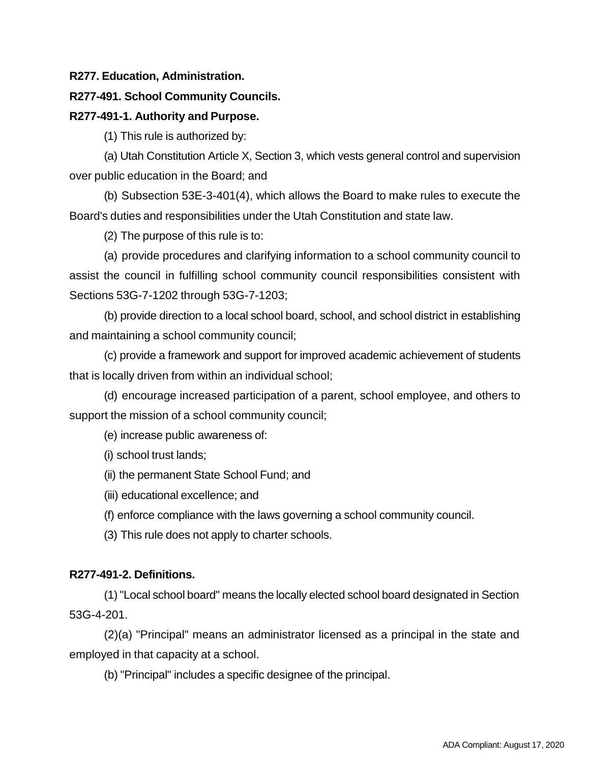#### **R277. Education, Administration.**

#### **R277-491. School Community Councils.**

#### **R277-491-1. Authority and Purpose.**

(1) This rule is authorized by:

(a) Utah Constitution Article X, Section 3, which vests general control and supervision over public education in the Board; and

(b) Subsection 53E-3-401(4), which allows the Board to make rules to execute the Board's duties and responsibilities under the Utah Constitution and state law.

(2) The purpose of this rule is to:

(a) provide procedures and clarifying information to a school community council to assist the council in fulfilling school community council responsibilities consistent with Sections 53G-7-1202 through 53G-7-1203;

(b) provide direction to a local school board, school, and school district in establishing and maintaining a school community council;

(c) provide a framework and support for improved academic achievement of students that is locally driven from within an individual school;

(d) encourage increased participation of a parent, school employee, and others to support the mission of a school community council;

(e) increase public awareness of:

(i) school trust lands;

(ii) the permanent State School Fund; and

(iii) educational excellence; and

(f) enforce compliance with the laws governing a school community council.

(3) This rule does not apply to charter schools.

### **R277-491-2. Definitions.**

(1)"Local school board" means the locally elected school board designated in Section 53G-4-201.

(2)(a) "Principal" means an administrator licensed as a principal in the state and employed in that capacity at a school.

(b) "Principal" includes a specific designee of the principal.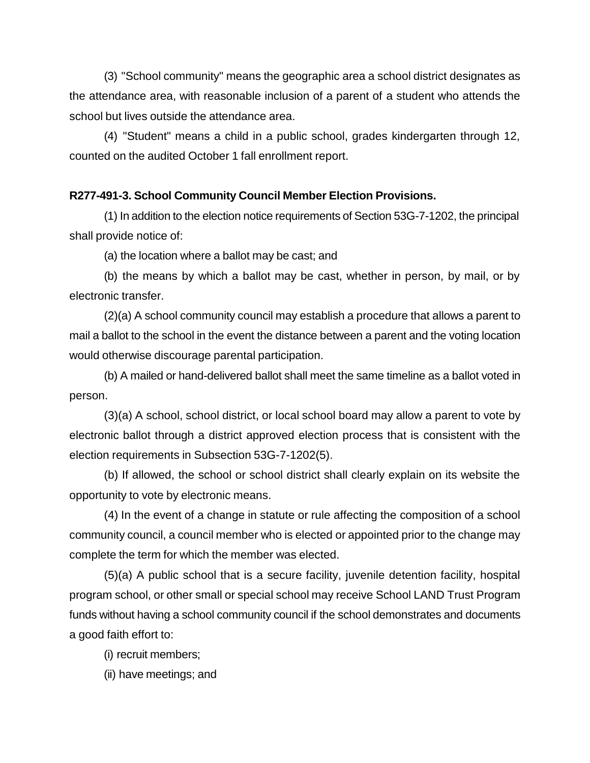(3) "School community" means the geographic area a school district designates as the attendance area, with reasonable inclusion of a parent of a student who attends the school but lives outside the attendance area.

(4) "Student" means a child in a public school, grades kindergarten through 12, counted on the audited October 1 fall enrollment report.

## **R277-491-3. School Community Council Member Election Provisions.**

(1) In addition to the election notice requirements of Section 53G-7-1202, the principal shall provide notice of:

(a) the location where a ballot may be cast; and

(b) the means by which a ballot may be cast, whether in person, by mail, or by electronic transfer.

(2)(a) A school community council may establish a procedure that allows a parent to mail a ballot to the school in the event the distance between a parent and the voting location would otherwise discourage parental participation.

(b) A mailed or hand-delivered ballot shall meet the same timeline as a ballot voted in person.

(3)(a) A school, school district, or local school board may allow a parent to vote by electronic ballot through a district approved election process that is consistent with the election requirements in Subsection 53G-7-1202(5).

(b) If allowed, the school or school district shall clearly explain on its website the opportunity to vote by electronic means.

(4) In the event of a change in statute or rule affecting the composition of a school community council, a council member who is elected or appointed prior to the change may complete the term for which the member was elected.

(5)(a) A public school that is a secure facility, juvenile detention facility, hospital program school, or other small or special school may receive School LAND Trust Program funds without having a school community council if the school demonstrates and documents a good faith effort to:

(i) recruit members;

(ii) have meetings; and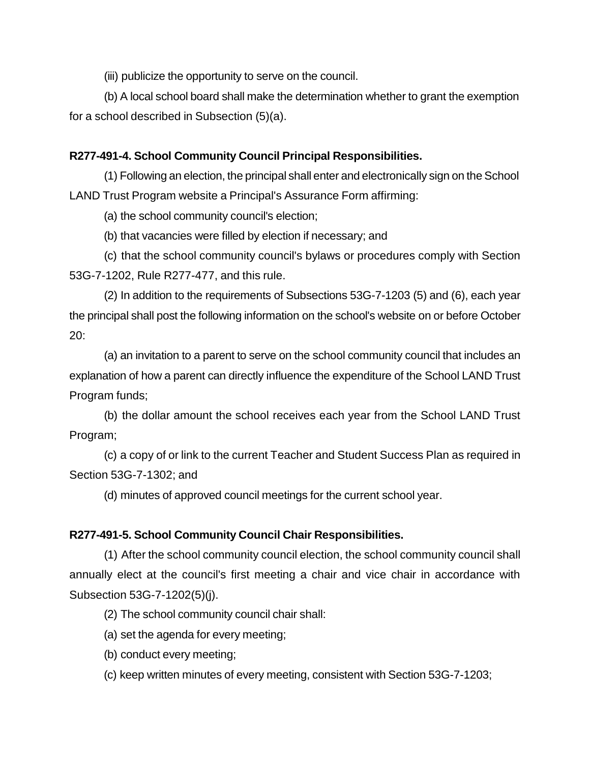(iii) publicize the opportunity to serve on the council.

(b) A local school board shall make the determination whether to grant the exemption for a school described in Subsection (5)(a).

## **R277-491-4. School Community Council Principal Responsibilities.**

(1) Following an election, the principal shall enter and electronically sign on the School LAND Trust Program website a Principal's Assurance Form affirming:

(a) the school community council's election;

(b) that vacancies were filled by election if necessary; and

(c) that the school community council's bylaws or procedures comply with Section 53G-7-1202, Rule R277-477, and this rule.

(2) In addition to the requirements of Subsections 53G-7-1203 (5) and (6), each year the principal shall post the following information on the school's website on or before October 20:

(a) an invitation to a parent to serve on the school community council that includes an explanation of how a parent can directly influence the expenditure of the School LAND Trust Program funds;

(b) the dollar amount the school receives each year from the School LAND Trust Program;

(c) a copy of or link to the current Teacher and Student Success Plan as required in Section 53G-7-1302; and

(d) minutes of approved council meetings for the current school year.

# **R277-491-5. School Community Council Chair Responsibilities.**

(1) After the school community council election, the school community council shall annually elect at the council's first meeting a chair and vice chair in accordance with Subsection 53G-7-1202(5)(j).

(2) The school community council chair shall:

(a) set the agenda for every meeting;

- (b) conduct every meeting;
- (c) keep written minutes of every meeting, consistent with Section 53G-7-1203;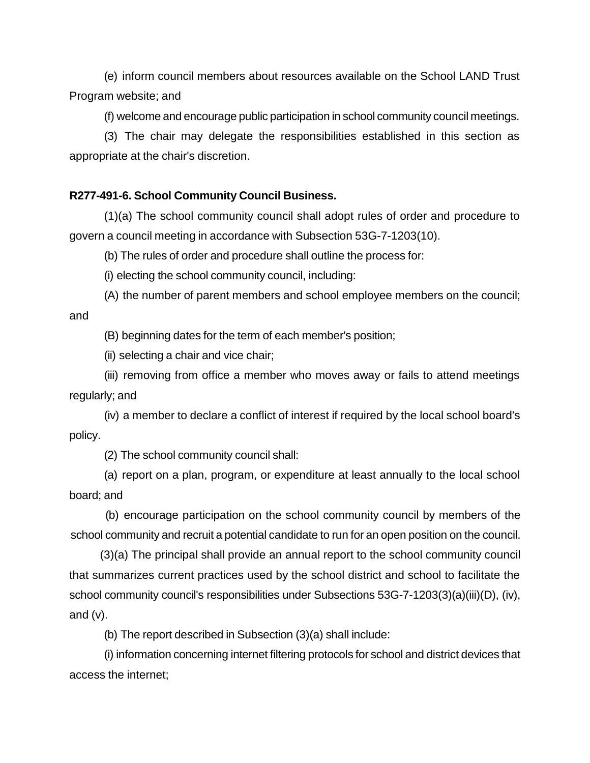(e) inform council members about resources available on the School LAND Trust Program website; and

(f) welcome and encourage public participation in school community council meetings.

(3) The chair may delegate the responsibilities established in this section as appropriate at the chair's discretion.

## **R277-491-6. School Community Council Business.**

(1)(a) The school community council shall adopt rules of order and procedure to govern a council meeting in accordance with Subsection 53G-7-1203(10).

(b) The rules of order and procedure shall outline the process for:

(i) electing the school community council, including:

(A) the number of parent members and school employee members on the council; and

(B) beginning dates for the term of each member's position;

(ii) selecting a chair and vice chair;

(iii) removing from office a member who moves away or fails to attend meetings regularly; and

(iv) a member to declare a conflict of interest if required by the local school board's policy.

(2) The school community council shall:

(a) report on a plan, program, or expenditure at least annually to the local school board; and

(b) encourage participation on the school community council by members of the school community and recruit a potential candidate to run for an open position on the council.

(3)(a) The principal shall provide an annual report to the school community council that summarizes current practices used by the school district and school to facilitate the school community council's responsibilities under Subsections 53G-7-1203(3)(a)(iii)(D), (iv), and  $(v)$ .

(b) The report described in Subsection (3)(a) shall include:

(i) information concerning internet filtering protocols for school and district devices that access the internet;